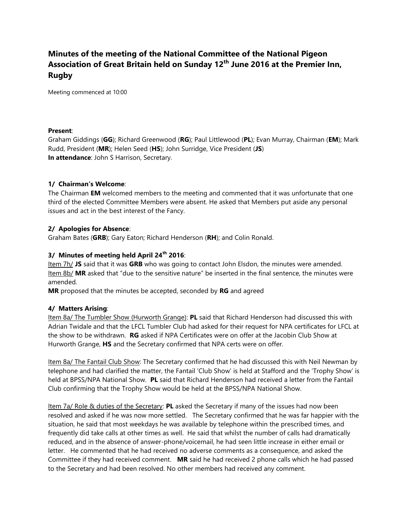# **Minutes of the meeting of the National Committee of the National Pigeon Association of Great Britain held on Sunday 12th June 2016 at the Premier Inn, Rugby**

Meeting commenced at 10:00

#### **Present**:

Graham Giddings (**GG**); Richard Greenwood (**RG**); Paul Littlewood (**PL**); Evan Murray, Chairman (**EM**); Mark Rudd, President (**MR**); Helen Seed (**HS**); John Surridge, Vice President (**JS**) **In attendance**: John S Harrison, Secretary.

# **1/ Chairman's Welcome**:

The Chairman **EM** welcomed members to the meeting and commented that it was unfortunate that one third of the elected Committee Members were absent. He asked that Members put aside any personal issues and act in the best interest of the Fancy.

# **2/ Apologies for Absence**:

Graham Bates (**GRB**); Gary Eaton; Richard Henderson (**RH**); and Colin Ronald.

# **3/ Minutes of meeting held April 24th 2016**:

Item 7h/ **JS** said that it was **GRB** who was going to contact John Elsdon, the minutes were amended. Item 8b/ **MR** asked that "due to the sensitive nature" be inserted in the final sentence, the minutes were amended.

**MR** proposed that the minutes be accepted, seconded by **RG** and agreed

# **4/ Matters Arising**:

Item 8a/ The Tumbler Show (Hurworth Grange): **PL** said that Richard Henderson had discussed this with Adrian Twidale and that the LFCL Tumbler Club had asked for their request for NPA certificates for LFCL at the show to be withdrawn. **RG** asked if NPA Certificates were on offer at the Jacobin Club Show at Hurworth Grange, **HS** and the Secretary confirmed that NPA certs were on offer.

Item 8a/ The Fantail Club Show: The Secretary confirmed that he had discussed this with Neil Newman by telephone and had clarified the matter, the Fantail 'Club Show' is held at Stafford and the 'Trophy Show' is held at BPSS/NPA National Show. **PL** said that Richard Henderson had received a letter from the Fantail Club confirming that the Trophy Show would be held at the BPSS/NPA National Show.

Item 7a/ Role & duties of the Secretary: **PL** asked the Secretary if many of the issues had now been resolved and asked if he was now more settled. The Secretary confirmed that he was far happier with the situation, he said that most weekdays he was available by telephone within the prescribed times, and frequently did take calls at other times as well. He said that whilst the number of calls had dramatically reduced, and in the absence of answer-phone/voicemail, he had seen little increase in either email or letter. He commented that he had received no adverse comments as a consequence, and asked the Committee if they had received comment. **MR** said he had received 2 phone calls which he had passed to the Secretary and had been resolved. No other members had received any comment.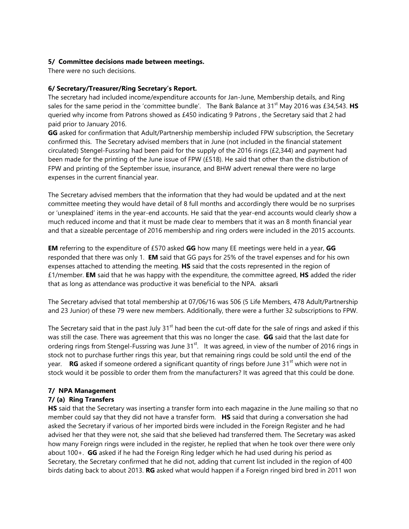# **5/ Committee decisions made between meetings.**

There were no such decisions.

#### **6/ Secretary/Treasurer/Ring Secretary's Report.**

The secretary had included income/expenditure accounts for Jan-June, Membership details, and Ring sales for the same period in the 'committee bundle'. The Bank Balance at 31<sup>st</sup> May 2016 was £34,543. **HS** queried why income from Patrons showed as £450 indicating 9 Patrons , the Secretary said that 2 had paid prior to January 2016.

**GG** asked for confirmation that Adult/Partnership membership included FPW subscription, the Secretary confirmed this. The Secretary advised members that in June (not included in the financial statement circulated) Stengel-Fussring had been paid for the supply of the 2016 rings (£2,344) and payment had been made for the printing of the June issue of FPW (£518). He said that other than the distribution of FPW and printing of the September issue, insurance, and BHW advert renewal there were no large expenses in the current financial year.

The Secretary advised members that the information that they had would be updated and at the next committee meeting they would have detail of 8 full months and accordingly there would be no surprises or 'unexplained' items in the year-end accounts. He said that the year-end accounts would clearly show a much reduced income and that it must be made clear to members that it was an 8 month financial year and that a sizeable percentage of 2016 membership and ring orders were included in the 2015 accounts.

**EM** referring to the expenditure of £570 asked **GG** how many EE meetings were held in a year, **GG** responded that there was only 1. **EM** said that GG pays for 25% of the travel expenses and for his own expenses attached to attending the meeting. **HS** said that the costs represented in the region of £1/member. **EM** said that he was happy with the expenditure, the committee agreed, **HS** added the rider that as long as attendance was productive it was beneficial to the NPA. aksarli

The Secretary advised that total membership at 07/06/16 was 506 (5 Life Members, 478 Adult/Partnership and 23 Junior) of these 79 were new members. Additionally, there were a further 32 subscriptions to FPW.

The Secretary said that in the past July 31<sup>st</sup> had been the cut-off date for the sale of rings and asked if this was still the case. There was agreement that this was no longer the case. **GG** said that the last date for ordering rings from Stengel-Fussring was June 31<sup>st</sup>. It was agreed, in view of the number of 2016 rings in stock not to purchase further rings this year, but that remaining rings could be sold until the end of the year. **RG** asked if someone ordered a significant quantity of rings before June 31<sup>st</sup> which were not in stock would it be possible to order them from the manufacturers? It was agreed that this could be done.

# **7/ NPA Management**

# **7/ (a) Ring Transfers**

**HS** said that the Secretary was inserting a transfer form into each magazine in the June mailing so that no member could say that they did not have a transfer form. **HS** said that during a conversation she had asked the Secretary if various of her imported birds were included in the Foreign Register and he had advised her that they were not, she said that she believed had transferred them. The Secretary was asked how many Foreign rings were included in the register, he replied that when he took over there were only about 100+. **GG** asked if he had the Foreign Ring ledger which he had used during his period as Secretary, the Secretary confirmed that he did not, adding that current list included in the region of 400 birds dating back to about 2013. **RG** asked what would happen if a Foreign ringed bird bred in 2011 won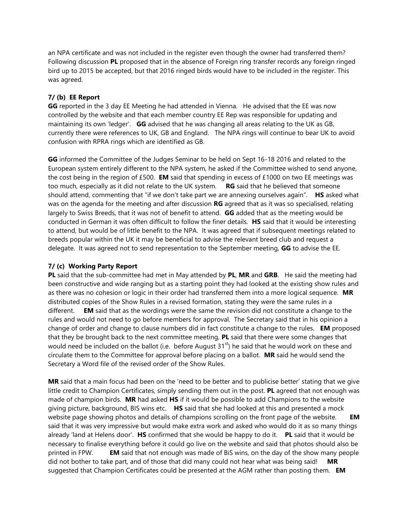an NPA certificate and was not included in the register even though the owner had transferred them? Following discussion **PL** proposed that in the absence of Foreign ring transfer records any foreign ringed bird up to 2015 be accepted, but that 2016 ringed birds would have to be included in the register. This was agreed.

# **7/ (b) EE Report**

**GG** reported in the 3 day EE Meeting he had attended in Vienna. He advised that the EE was now controlled by the website and that each member country EE Rep was responsible for updating and maintaining its own 'ledger'. **GG** advised that he was changing all areas relating to the UK as GB, currently there were references to UK, GB and England. The NPA rings will continue to bear UK to avoid confusion with RPRA rings which are identified as GB.

**GG** informed the Committee of the Judges Seminar to be held on Sept 16-18 2016 and related to the European system entirely different to the NPA system, he asked if the Committee wished to send anyone, the cost being in the region of £500. **EM** said that spending in excess of £1000 on two EE meetings was too much, especially as it did not relate to the UK system. **RG** said that he believed that someone should attend, commenting that "if we don't take part we are annexing ourselves again". **HS** asked what was on the agenda for the meeting and after discussion **RG** agreed that as it was so specialised, relating largely to Swiss Breeds, that it was not of benefit to attend. **GG** added that as the meeting would be conducted in German it was often difficult to follow the finer details. **HS** said that it would be interesting to attend, but would be of little benefit to the NPA. It was agreed that if subsequent meetings related to breeds popular within the UK it may be beneficial to advise the relevant breed club and request a delegate. It was agreed not to send representation to the September meeting, **GG** to advise the EE.

# **7/ (c) Working Party Report**

**PL** said that the sub-committee had met in May attended by **PL**, **MR** and **GRB**. He said the meeting had been constructive and wide ranging but as a starting point they had looked at the existing show rules and as there was no cohesion or logic in their order had transferred them into a more logical sequence. **MR** distributed copies of the Show Rules in a revised formation, stating they were the same rules in a different. **EM** said that as the wordings were the same the revision did not constitute a change to the rules and would not need to go before members for approval. The Secretary said that in his opinion a change of order and change to clause numbers did in fact constitute a change to the rules. **EM** proposed that they be brought back to the next committee meeting, **PL** said that there were some changes that would need be included on the ballot (i.e. before August  $31<sup>st</sup>$ ) he said that he would work on these and circulate them to the Committee for approval before placing on a ballot. **MR** said he would send the Secretary a Word file of the revised order of the Show Rules.

**MR** said that a main focus had been on the 'need to be better and to publicise better' stating that we give little credit to Champion Certificates, simply sending them out in the post. **PL** agreed that not enough was made of champion birds. **MR** had asked **HS** if it would be possible to add Champions to the website giving picture, background, BIS wins etc. **HS** said that she had looked at this and presented a mock website page showing photos and details of champions scrolling on the front page of the website. **EM**  said that it was very impressive but would make extra work and asked who would do it as so many things already 'land at Helens door'. **HS** confirmed that she would be happy to do it. **PL** said that it would be necessary to finalise everything before it could go live on the website and said that photos should also be printed in FPW. **EM** said that not enough was made of BiS wins, on the day of the show many people did not bother to take part, and of those that did many could not hear what was being said! **MR** suggested that Champion Certificates could be presented at the AGM rather than posting them. **EM**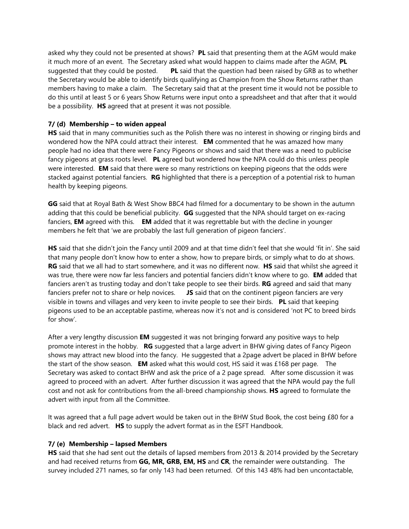asked why they could not be presented at shows? **PL** said that presenting them at the AGM would make it much more of an event. The Secretary asked what would happen to claims made after the AGM, **PL** suggested that they could be posted. **PL** said that the question had been raised by GRB as to whether the Secretary would be able to identify birds qualifying as Champion from the Show Returns rather than members having to make a claim. The Secretary said that at the present time it would not be possible to do this until at least 5 or 6 years Show Returns were input onto a spreadsheet and that after that it would be a possibility. **HS** agreed that at present it was not possible.

### **7/ (d) Membership – to widen appeal**

**HS** said that in many communities such as the Polish there was no interest in showing or ringing birds and wondered how the NPA could attract their interest. **EM** commented that he was amazed how many people had no idea that there were Fancy Pigeons or shows and said that there was a need to publicise fancy pigeons at grass roots level. **PL** agreed but wondered how the NPA could do this unless people were interested. **EM** said that there were so many restrictions on keeping pigeons that the odds were stacked against potential fanciers. **RG** highlighted that there is a perception of a potential risk to human health by keeping pigeons.

**GG** said that at Royal Bath & West Show BBC4 had filmed for a documentary to be shown in the autumn adding that this could be beneficial publicity. **GG** suggested that the NPA should target on ex-racing fanciers, **EM** agreed with this. **EM** added that it was regrettable but with the decline in younger members he felt that 'we are probably the last full generation of pigeon fanciers'.

**HS** said that she didn't join the Fancy until 2009 and at that time didn't feel that she would 'fit in'. She said that many people don't know how to enter a show, how to prepare birds, or simply what to do at shows. **RG** said that we all had to start somewhere, and it was no different now. **HS** said that whilst she agreed it was true, there were now far less fanciers and potential fanciers didn't know where to go. **EM** added that fanciers aren't as trusting today and don't take people to see their birds. **RG** agreed and said that many fanciers prefer not to share or help novices. **JS** said that on the continent pigeon fanciers are very visible in towns and villages and very keen to invite people to see their birds. **PL** said that keeping pigeons used to be an acceptable pastime, whereas now it's not and is considered 'not PC to breed birds for show'.

After a very lengthy discussion **EM** suggested it was not bringing forward any positive ways to help promote interest in the hobby. **RG** suggested that a large advert in BHW giving dates of Fancy Pigeon shows may attract new blood into the fancy. He suggested that a 2page advert be placed in BHW before the start of the show season. **EM** asked what this would cost, HS said it was £168 per page. The Secretary was asked to contact BHW and ask the price of a 2 page spread. After some discussion it was agreed to proceed with an advert. After further discussion it was agreed that the NPA would pay the full cost and not ask for contributions from the all-breed championship shows. **HS** agreed to formulate the advert with input from all the Committee.

It was agreed that a full page advert would be taken out in the BHW Stud Book, the cost being £80 for a black and red advert. **HS** to supply the advert format as in the ESFT Handbook.

#### **7/ (e) Membership – lapsed Members**

**HS** said that she had sent out the details of lapsed members from 2013 & 2014 provided by the Secretary and had received returns from **GG, MR, GRB, EM, HS** and **CR**, the remainder were outstanding. The survey included 271 names, so far only 143 had been returned. Of this 143 48% had ben uncontactable,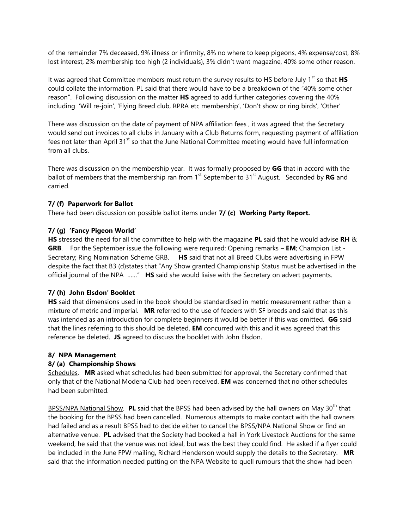of the remainder 7% deceased, 9% illness or infirmity, 8% no where to keep pigeons, 4% expense/cost, 8% lost interest, 2% membership too high (2 individuals), 3% didn't want magazine, 40% some other reason.

It was agreed that Committee members must return the survey results to HS before July 1<sup>st</sup> so that HS could collate the information. PL said that there would have to be a breakdown of the "40% some other reason". Following discussion on the matter **HS** agreed to add further categories covering the 40% including 'Will re-join', 'Flying Breed club, RPRA etc membership', 'Don't show or ring birds', 'Other'

There was discussion on the date of payment of NPA affiliation fees , it was agreed that the Secretary would send out invoices to all clubs in January with a Club Returns form, requesting payment of affiliation fees not later than April 31<sup>st</sup> so that the June National Committee meeting would have full information from all clubs.

There was discussion on the membership year. It was formally proposed by **GG** that in accord with the ballot of members that the membership ran from 1<sup>st</sup> September to 31<sup>st</sup> August. Seconded by **RG** and carried.

# **7/ (f) Paperwork for Ballot**

There had been discussion on possible ballot items under **7/ (c) Working Party Report.**

# **7/ (g) 'Fancy Pigeon World'**

**HS** stressed the need for all the committee to help with the magazine **PL** said that he would advise **RH** & **GRB**. For the September issue the following were required: Opening remarks – **EM**; Champion List - Secretary; Ring Nomination Scheme GRB. **HS** said that not all Breed Clubs were advertising in FPW despite the fact that B3 (d)states that "Any Show granted Championship Status must be advertised in the official journal of the NPA ……" **HS** said she would liaise with the Secretary on advert payments.

# **7/ (h) John Elsdon' Booklet**

**HS** said that dimensions used in the book should be standardised in metric measurement rather than a mixture of metric and imperial. **MR** referred to the use of feeders with SF breeds and said that as this was intended as an introduction for complete beginners it would be better if this was omitted. **GG** said that the lines referring to this should be deleted, **EM** concurred with this and it was agreed that this reference be deleted. **JS** agreed to discuss the booklet with John Elsdon.

# **8/ NPA Management**

# **8/ (a) Championship Shows**

Schedules. **MR** asked what schedules had been submitted for approval, the Secretary confirmed that only that of the National Modena Club had been received. **EM** was concerned that no other schedules had been submitted.

BPSS/NPA National Show. PL said that the BPSS had been advised by the hall owners on May 30<sup>th</sup> that the booking for the BPSS had been cancelled. Numerous attempts to make contact with the hall owners had failed and as a result BPSS had to decide either to cancel the BPSS/NPA National Show or find an alternative venue. **PL** advised that the Society had booked a hall in York Livestock Auctions for the same weekend, he said that the venue was not ideal, but was the best they could find. He asked if a flyer could be included in the June FPW mailing, Richard Henderson would supply the details to the Secretary. **MR** said that the information needed putting on the NPA Website to quell rumours that the show had been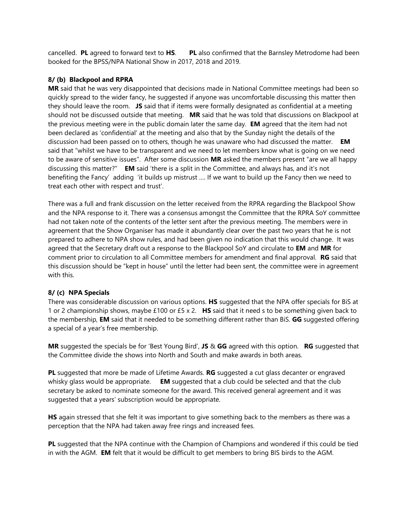cancelled. **PL** agreed to forward text to **HS**. **PL** also confirmed that the Barnsley Metrodome had been booked for the BPSS/NPA National Show in 2017, 2018 and 2019.

### **8/ (b) Blackpool and RPRA**

**MR** said that he was very disappointed that decisions made in National Committee meetings had been so quickly spread to the wider fancy, he suggested if anyone was uncomfortable discussing this matter then they should leave the room. **JS** said that if items were formally designated as confidential at a meeting should not be discussed outside that meeting. **MR** said that he was told that discussions on Blackpool at the previous meeting were in the public domain later the same day. **EM** agreed that the item had not been declared as 'confidential' at the meeting and also that by the Sunday night the details of the discussion had been passed on to others, though he was unaware who had discussed the matter. **EM** said that "whilst we have to be transparent and we need to let members know what is going on we need to be aware of sensitive issues". After some discussion **MR** asked the members present "are we all happy discussing this matter?" **EM** said 'there is a split in the Committee, and always has, and it's not benefiting the Fancy' adding 'it builds up mistrust …. If we want to build up the Fancy then we need to treat each other with respect and trust'.

There was a full and frank discussion on the letter received from the RPRA regarding the Blackpool Show and the NPA response to it. There was a consensus amongst the Committee that the RPRA SoY committee had not taken note of the contents of the letter sent after the previous meeting. The members were in agreement that the Show Organiser has made it abundantly clear over the past two years that he is not prepared to adhere to NPA show rules, and had been given no indication that this would change. It was agreed that the Secretary draft out a response to the Blackpool SoY and circulate to **EM** and **MR** for comment prior to circulation to all Committee members for amendment and final approval. **RG** said that this discussion should be "kept in house" until the letter had been sent, the committee were in agreement with this.

# **8/ (c) NPA Specials**

There was considerable discussion on various options. **HS** suggested that the NPA offer specials for BiS at 1 or 2 championship shows, maybe £100 or £5 x 2. **HS** said that it need s to be something given back to the membership, **EM** said that it needed to be something different rather than BiS. **GG** suggested offering a special of a year's free membership.

**MR** suggested the specials be for 'Best Young Bird', **JS** & **GG** agreed with this option. **RG** suggested that the Committee divide the shows into North and South and make awards in both areas.

**PL** suggested that more be made of Lifetime Awards. **RG** suggested a cut glass decanter or engraved whisky glass would be appropriate. **EM** suggested that a club could be selected and that the club secretary be asked to nominate someone for the award. This received general agreement and it was suggested that a years' subscription would be appropriate.

**HS** again stressed that she felt it was important to give something back to the members as there was a perception that the NPA had taken away free rings and increased fees.

**PL** suggested that the NPA continue with the Champion of Champions and wondered if this could be tied in with the AGM. **EM** felt that it would be difficult to get members to bring BIS birds to the AGM.